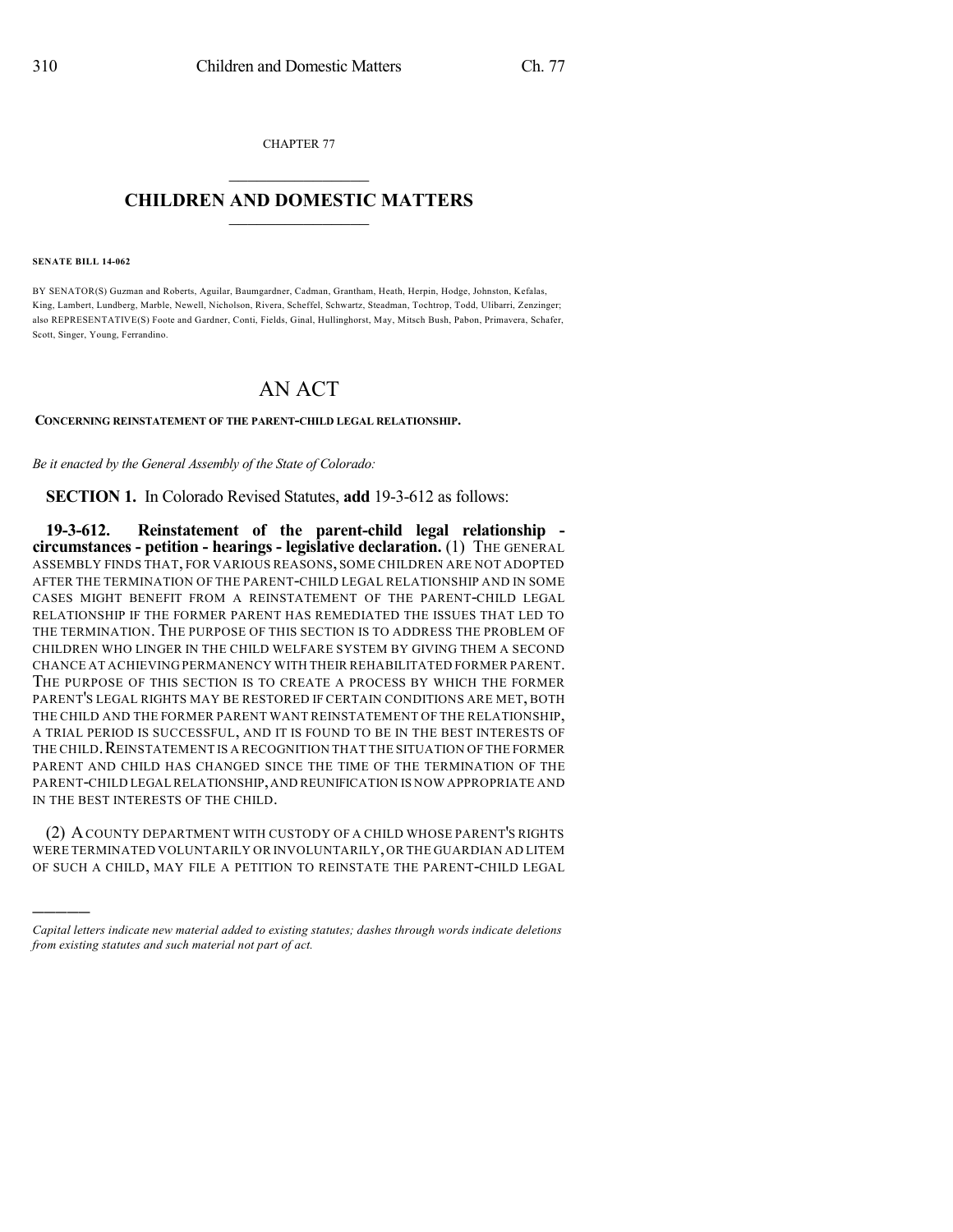CHAPTER 77  $\overline{\phantom{a}}$  . The set of the set of the set of the set of the set of the set of the set of the set of the set of the set of the set of the set of the set of the set of the set of the set of the set of the set of the set o

## **CHILDREN AND DOMESTIC MATTERS**  $\_$

**SENATE BILL 14-062**

)))))

BY SENATOR(S) Guzman and Roberts, Aguilar, Baumgardner, Cadman, Grantham, Heath, Herpin, Hodge, Johnston, Kefalas, King, Lambert, Lundberg, Marble, Newell, Nicholson, Rivera, Scheffel, Schwartz, Steadman, Tochtrop, Todd, Ulibarri, Zenzinger; also REPRESENTATIVE(S) Foote and Gardner, Conti, Fields, Ginal, Hullinghorst, May, Mitsch Bush, Pabon, Primavera, Schafer, Scott, Singer, Young, Ferrandino.

# AN ACT

#### **CONCERNING REINSTATEMENT OF THE PARENT-CHILD LEGAL RELATIONSHIP.**

*Be it enacted by the General Assembly of the State of Colorado:*

**SECTION 1.** In Colorado Revised Statutes, **add** 19-3-612 as follows:

**19-3-612. Reinstatement of the parent-child legal relationship circumstances - petition - hearings - legislative declaration.** (1) THE GENERAL ASSEMBLY FINDS THAT, FOR VARIOUS REASONS, SOME CHILDREN ARE NOT ADOPTED AFTER THE TERMINATION OF THE PARENT-CHILD LEGAL RELATIONSHIP AND IN SOME CASES MIGHT BENEFIT FROM A REINSTATEMENT OF THE PARENT-CHILD LEGAL RELATIONSHIP IF THE FORMER PARENT HAS REMEDIATED THE ISSUES THAT LED TO THE TERMINATION. THE PURPOSE OF THIS SECTION IS TO ADDRESS THE PROBLEM OF CHILDREN WHO LINGER IN THE CHILD WELFARE SYSTEM BY GIVING THEM A SECOND CHANCE AT ACHIEVING PERMANENCY WITH THEIR REHABILITATED FORMER PARENT. THE PURPOSE OF THIS SECTION IS TO CREATE A PROCESS BY WHICH THE FORMER PARENT'S LEGAL RIGHTS MAY BE RESTORED IF CERTAIN CONDITIONS ARE MET, BOTH THE CHILD AND THE FORMER PARENT WANT REINSTATEMENT OF THE RELATIONSHIP, A TRIAL PERIOD IS SUCCESSFUL, AND IT IS FOUND TO BE IN THE BEST INTERESTS OF THE CHILD. REINSTATEMENT IS A RECOGNITION THAT THE SITUATION OF THE FORMER PARENT AND CHILD HAS CHANGED SINCE THE TIME OF THE TERMINATION OF THE PARENT-CHILD LEGAL RELATIONSHIP,AND REUNIFICATION IS NOW APPROPRIATE AND IN THE BEST INTERESTS OF THE CHILD.

(2) ACOUNTY DEPARTMENT WITH CUSTODY OF A CHILD WHOSE PARENT'S RIGHTS WERE TERMINATED VOLUNTARILY OR INVOLUNTARILY,OR THE GUARDIAN AD LITEM OF SUCH A CHILD, MAY FILE A PETITION TO REINSTATE THE PARENT-CHILD LEGAL

*Capital letters indicate new material added to existing statutes; dashes through words indicate deletions from existing statutes and such material not part of act.*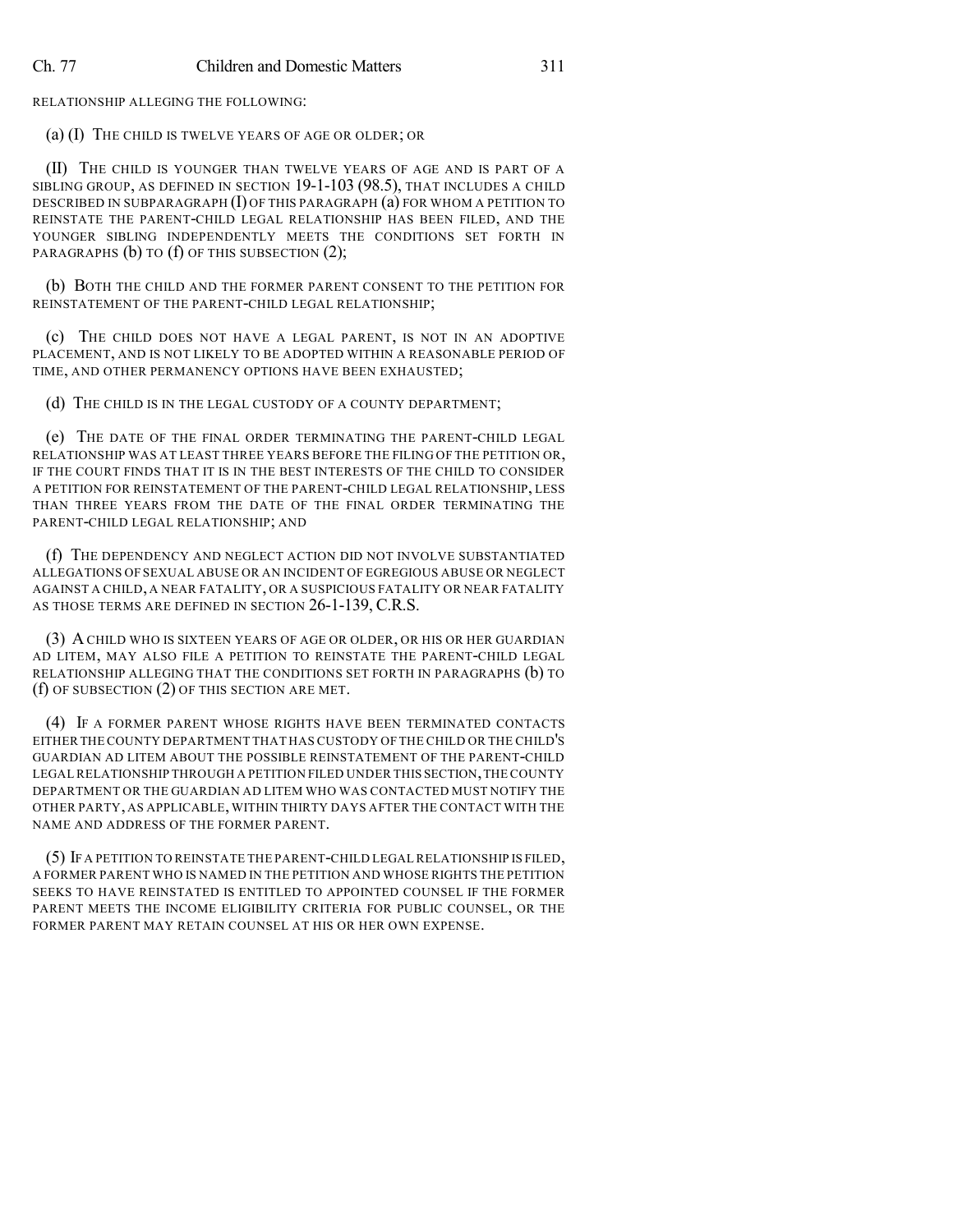RELATIONSHIP ALLEGING THE FOLLOWING:

(a) (I) THE CHILD IS TWELVE YEARS OF AGE OR OLDER; OR

(II) THE CHILD IS YOUNGER THAN TWELVE YEARS OF AGE AND IS PART OF A SIBLING GROUP, AS DEFINED IN SECTION 19-1-103 (98.5), THAT INCLUDES A CHILD DESCRIBED IN SUBPARAGRAPH (I) OF THIS PARAGRAPH (a) FOR WHOM A PETITION TO REINSTATE THE PARENT-CHILD LEGAL RELATIONSHIP HAS BEEN FILED, AND THE YOUNGER SIBLING INDEPENDENTLY MEETS THE CONDITIONS SET FORTH IN PARAGRAPHS (b) TO (f) OF THIS SUBSECTION (2);

(b) BOTH THE CHILD AND THE FORMER PARENT CONSENT TO THE PETITION FOR REINSTATEMENT OF THE PARENT-CHILD LEGAL RELATIONSHIP;

(c) THE CHILD DOES NOT HAVE A LEGAL PARENT, IS NOT IN AN ADOPTIVE PLACEMENT, AND IS NOT LIKELY TO BE ADOPTED WITHIN A REASONABLE PERIOD OF TIME, AND OTHER PERMANENCY OPTIONS HAVE BEEN EXHAUSTED;

(d) THE CHILD IS IN THE LEGAL CUSTODY OF A COUNTY DEPARTMENT;

(e) THE DATE OF THE FINAL ORDER TERMINATING THE PARENT-CHILD LEGAL RELATIONSHIP WAS AT LEAST THREE YEARS BEFORE THE FILING OF THE PETITION OR, IF THE COURT FINDS THAT IT IS IN THE BEST INTERESTS OF THE CHILD TO CONSIDER A PETITION FOR REINSTATEMENT OF THE PARENT-CHILD LEGAL RELATIONSHIP, LESS THAN THREE YEARS FROM THE DATE OF THE FINAL ORDER TERMINATING THE PARENT-CHILD LEGAL RELATIONSHIP; AND

(f) THE DEPENDENCY AND NEGLECT ACTION DID NOT INVOLVE SUBSTANTIATED ALLEGATIONS OF SEXUAL ABUSE OR AN INCIDENT OF EGREGIOUS ABUSE OR NEGLECT AGAINST A CHILD, A NEAR FATALITY, OR A SUSPICIOUS FATALITY OR NEAR FATALITY AS THOSE TERMS ARE DEFINED IN SECTION 26-1-139, C.R.S.

(3) ACHILD WHO IS SIXTEEN YEARS OF AGE OR OLDER, OR HIS OR HER GUARDIAN AD LITEM, MAY ALSO FILE A PETITION TO REINSTATE THE PARENT-CHILD LEGAL RELATIONSHIP ALLEGING THAT THE CONDITIONS SET FORTH IN PARAGRAPHS (b) TO (f) OF SUBSECTION (2) OF THIS SECTION ARE MET.

(4) IF A FORMER PARENT WHOSE RIGHTS HAVE BEEN TERMINATED CONTACTS EITHER THE COUNTY DEPARTMENT THAT HAS CUSTODY OF THE CHILD OR THE CHILD'S GUARDIAN AD LITEM ABOUT THE POSSIBLE REINSTATEMENT OF THE PARENT-CHILD LEGAL RELATIONSHIP THROUGH A PETITION FILED UNDER THIS SECTION,THE COUNTY DEPARTMENT OR THE GUARDIAN AD LITEM WHO WAS CONTACTED MUST NOTIFY THE OTHER PARTY, AS APPLICABLE, WITHIN THIRTY DAYS AFTER THE CONTACT WITH THE NAME AND ADDRESS OF THE FORMER PARENT.

(5) IF A PETITION TO REINSTATE THE PARENT-CHILD LEGALRELATIONSHIP IS FILED, A FORMER PARENT WHO IS NAMED IN THE PETITION AND WHOSE RIGHTS THE PETITION SEEKS TO HAVE REINSTATED IS ENTITLED TO APPOINTED COUNSEL IF THE FORMER PARENT MEETS THE INCOME ELIGIBILITY CRITERIA FOR PUBLIC COUNSEL, OR THE FORMER PARENT MAY RETAIN COUNSEL AT HIS OR HER OWN EXPENSE.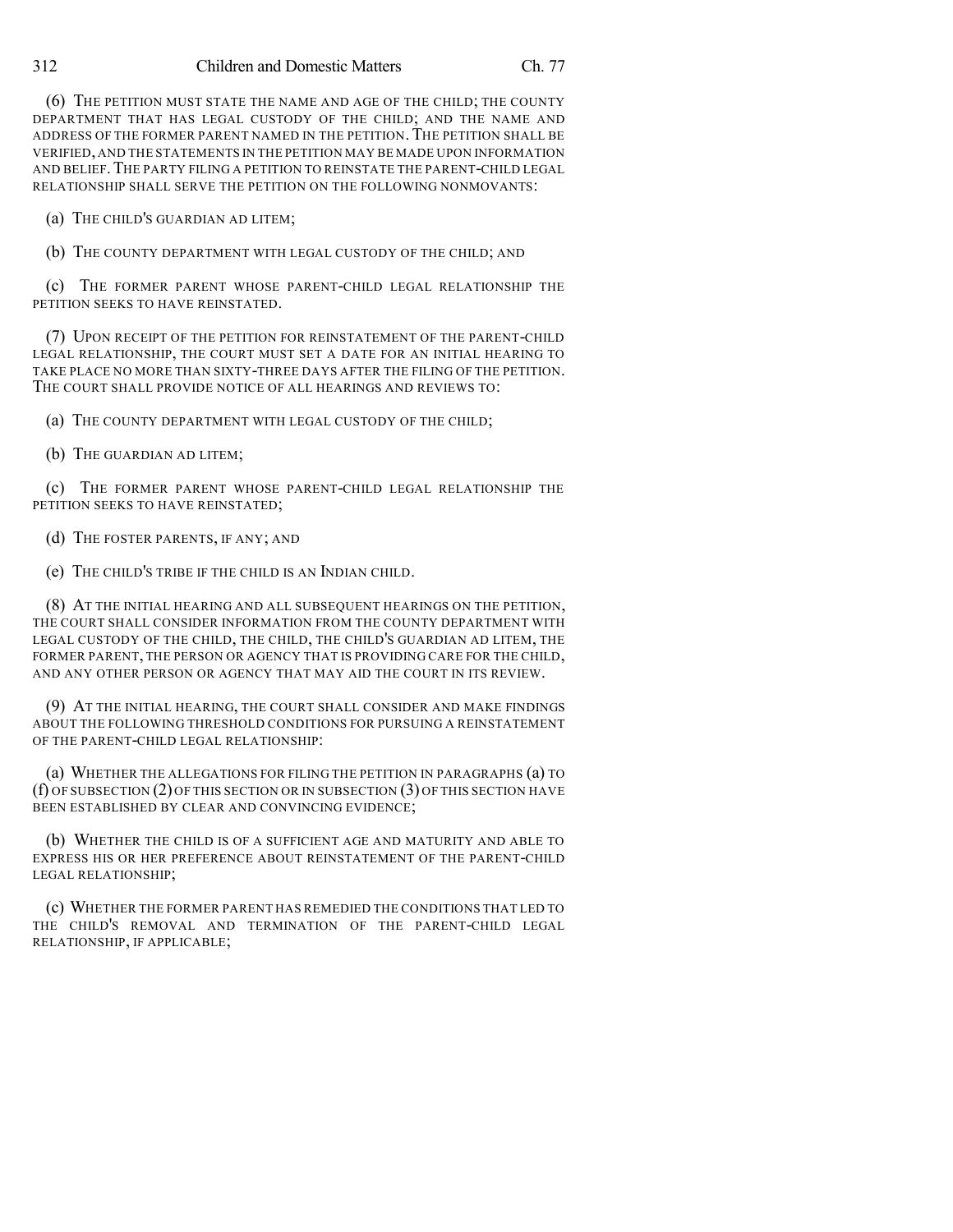#### 312 Children and Domestic Matters Ch. 77

(6) THE PETITION MUST STATE THE NAME AND AGE OF THE CHILD; THE COUNTY DEPARTMENT THAT HAS LEGAL CUSTODY OF THE CHILD; AND THE NAME AND ADDRESS OF THE FORMER PARENT NAMED IN THE PETITION. THE PETITION SHALL BE VERIFIED, AND THE STATEMENTS IN THE PETITION MAY BE MADE UPON INFORMATION AND BELIEF.THE PARTY FILING A PETITION TO REINSTATE THE PARENT-CHILD LEGAL RELATIONSHIP SHALL SERVE THE PETITION ON THE FOLLOWING NONMOVANTS:

(a) THE CHILD'S GUARDIAN AD LITEM;

(b) THE COUNTY DEPARTMENT WITH LEGAL CUSTODY OF THE CHILD; AND

(c) THE FORMER PARENT WHOSE PARENT-CHILD LEGAL RELATIONSHIP THE PETITION SEEKS TO HAVE REINSTATED.

(7) UPON RECEIPT OF THE PETITION FOR REINSTATEMENT OF THE PARENT-CHILD LEGAL RELATIONSHIP, THE COURT MUST SET A DATE FOR AN INITIAL HEARING TO TAKE PLACE NO MORE THAN SIXTY-THREE DAYS AFTER THE FILING OF THE PETITION. THE COURT SHALL PROVIDE NOTICE OF ALL HEARINGS AND REVIEWS TO:

(a) THE COUNTY DEPARTMENT WITH LEGAL CUSTODY OF THE CHILD;

(b) THE GUARDIAN AD LITEM;

(c) THE FORMER PARENT WHOSE PARENT-CHILD LEGAL RELATIONSHIP THE PETITION SEEKS TO HAVE REINSTATED;

(d) THE FOSTER PARENTS, IF ANY; AND

(e) THE CHILD'S TRIBE IF THE CHILD IS AN INDIAN CHILD.

(8) AT THE INITIAL HEARING AND ALL SUBSEQUENT HEARINGS ON THE PETITION, THE COURT SHALL CONSIDER INFORMATION FROM THE COUNTY DEPARTMENT WITH LEGAL CUSTODY OF THE CHILD, THE CHILD, THE CHILD'S GUARDIAN AD LITEM, THE FORMER PARENT, THE PERSON OR AGENCY THAT IS PROVIDING CARE FOR THE CHILD, AND ANY OTHER PERSON OR AGENCY THAT MAY AID THE COURT IN ITS REVIEW.

(9) AT THE INITIAL HEARING, THE COURT SHALL CONSIDER AND MAKE FINDINGS ABOUT THE FOLLOWING THRESHOLD CONDITIONS FOR PURSUING A REINSTATEMENT OF THE PARENT-CHILD LEGAL RELATIONSHIP:

(a) WHETHER THE ALLEGATIONS FOR FILING THE PETITION IN PARAGRAPHS (a) TO (f) OF SUBSECTION (2) OF THIS SECTION OR IN SUBSECTION (3) OF THIS SECTION HAVE BEEN ESTABLISHED BY CLEAR AND CONVINCING EVIDENCE:

(b) WHETHER THE CHILD IS OF A SUFFICIENT AGE AND MATURITY AND ABLE TO EXPRESS HIS OR HER PREFERENCE ABOUT REINSTATEMENT OF THE PARENT-CHILD LEGAL RELATIONSHIP;

(c) WHETHER THE FORMER PARENT HAS REMEDIED THE CONDITIONS THAT LED TO THE CHILD'S REMOVAL AND TERMINATION OF THE PARENT-CHILD LEGAL RELATIONSHIP, IF APPLICABLE;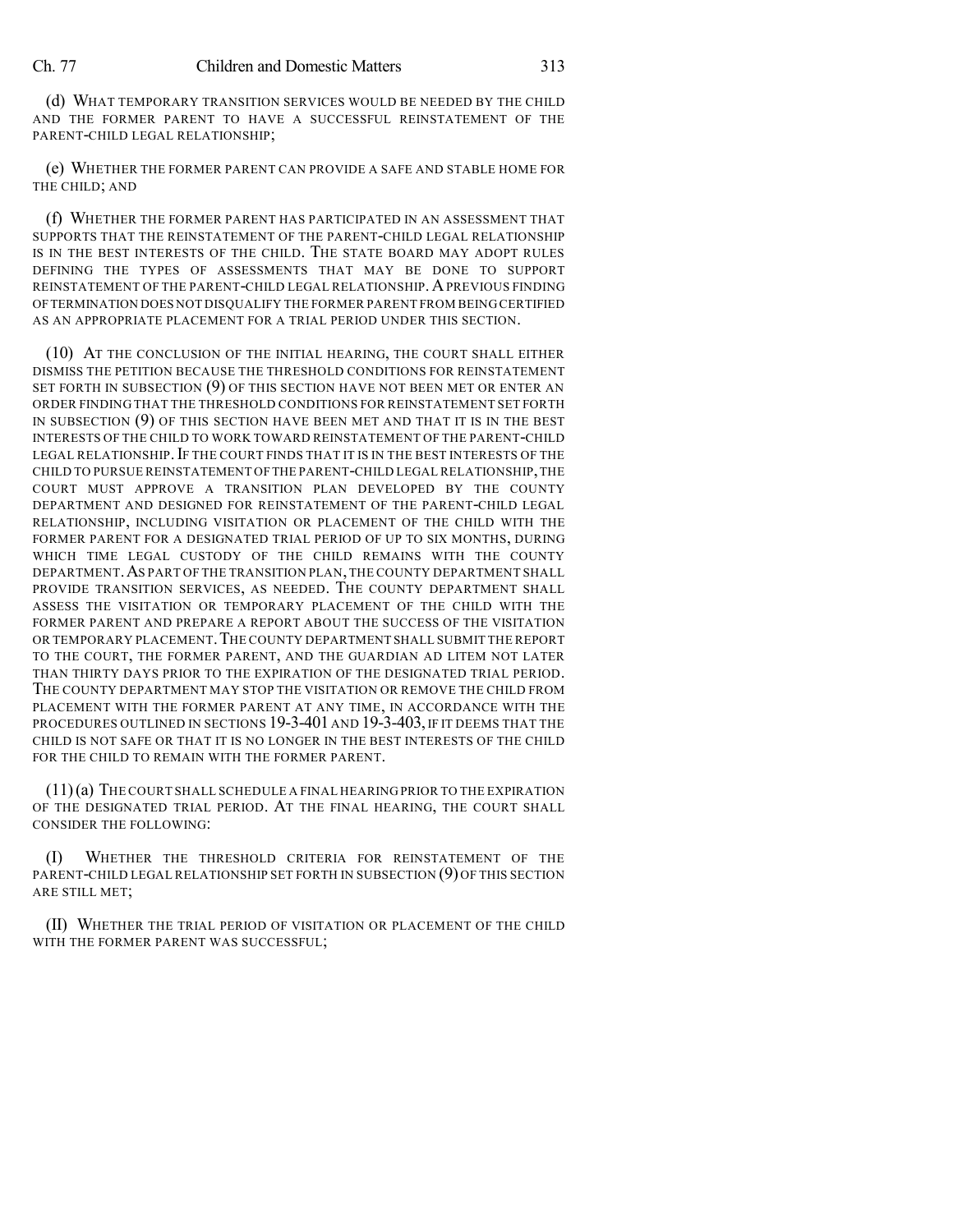(d) WHAT TEMPORARY TRANSITION SERVICES WOULD BE NEEDED BY THE CHILD AND THE FORMER PARENT TO HAVE A SUCCESSFUL REINSTATEMENT OF THE PARENT-CHILD LEGAL RELATIONSHIP;

(e) WHETHER THE FORMER PARENT CAN PROVIDE A SAFE AND STABLE HOME FOR THE CHILD; AND

(f) WHETHER THE FORMER PARENT HAS PARTICIPATED IN AN ASSESSMENT THAT SUPPORTS THAT THE REINSTATEMENT OF THE PARENT-CHILD LEGAL RELATIONSHIP IS IN THE BEST INTERESTS OF THE CHILD. THE STATE BOARD MAY ADOPT RULES DEFINING THE TYPES OF ASSESSMENTS THAT MAY BE DONE TO SUPPORT REINSTATEMENT OF THE PARENT-CHILD LEGAL RELATIONSHIP. A PREVIOUS FINDING OFTERMINATION DOES NOT DISQUALIFY THE FORMER PARENT FROM BEING CERTIFIED AS AN APPROPRIATE PLACEMENT FOR A TRIAL PERIOD UNDER THIS SECTION.

(10) AT THE CONCLUSION OF THE INITIAL HEARING, THE COURT SHALL EITHER DISMISS THE PETITION BECAUSE THE THRESHOLD CONDITIONS FOR REINSTATEMENT SET FORTH IN SUBSECTION (9) OF THIS SECTION HAVE NOT BEEN MET OR ENTER AN ORDER FINDING THAT THE THRESHOLD CONDITIONS FOR REINSTATEMENT SET FORTH IN SUBSECTION (9) OF THIS SECTION HAVE BEEN MET AND THAT IT IS IN THE BEST INTERESTS OF THE CHILD TO WORK TOWARD REINSTATEMENT OF THE PARENT-CHILD LEGAL RELATIONSHIP. IF THE COURT FINDS THAT IT IS IN THE BEST INTERESTS OF THE CHILD TO PURSUE REINSTATEMENT OFTHE PARENT-CHILD LEGAL RELATIONSHIP,THE COURT MUST APPROVE A TRANSITION PLAN DEVELOPED BY THE COUNTY DEPARTMENT AND DESIGNED FOR REINSTATEMENT OF THE PARENT-CHILD LEGAL RELATIONSHIP, INCLUDING VISITATION OR PLACEMENT OF THE CHILD WITH THE FORMER PARENT FOR A DESIGNATED TRIAL PERIOD OF UP TO SIX MONTHS, DURING WHICH TIME LEGAL CUSTODY OF THE CHILD REMAINS WITH THE COUNTY DEPARTMENT.AS PART OF THE TRANSITION PLAN,THE COUNTY DEPARTMENT SHALL PROVIDE TRANSITION SERVICES, AS NEEDED. THE COUNTY DEPARTMENT SHALL ASSESS THE VISITATION OR TEMPORARY PLACEMENT OF THE CHILD WITH THE FORMER PARENT AND PREPARE A REPORT ABOUT THE SUCCESS OF THE VISITATION OR TEMPORARY PLACEMENT.THE COUNTY DEPARTMENT SHALL SUBMIT THE REPORT TO THE COURT, THE FORMER PARENT, AND THE GUARDIAN AD LITEM NOT LATER THAN THIRTY DAYS PRIOR TO THE EXPIRATION OF THE DESIGNATED TRIAL PERIOD. THE COUNTY DEPARTMENT MAY STOP THE VISITATION OR REMOVE THE CHILD FROM PLACEMENT WITH THE FORMER PARENT AT ANY TIME, IN ACCORDANCE WITH THE PROCEDURES OUTLINED IN SECTIONS 19-3-401 AND 19-3-403, IF IT DEEMS THAT THE CHILD IS NOT SAFE OR THAT IT IS NO LONGER IN THE BEST INTERESTS OF THE CHILD FOR THE CHILD TO REMAIN WITH THE FORMER PARENT.

(11)(a) THE COURT SHALL SCHEDULE A FINAL HEARING PRIOR TO THE EXPIRATION OF THE DESIGNATED TRIAL PERIOD. AT THE FINAL HEARING, THE COURT SHALL CONSIDER THE FOLLOWING:

(I) WHETHER THE THRESHOLD CRITERIA FOR REINSTATEMENT OF THE PARENT-CHILD LEGAL RELATIONSHIP SET FORTH IN SUBSECTION (9) OF THIS SECTION ARE STILL MET;

(II) WHETHER THE TRIAL PERIOD OF VISITATION OR PLACEMENT OF THE CHILD WITH THE FORMER PARENT WAS SUCCESSFUL;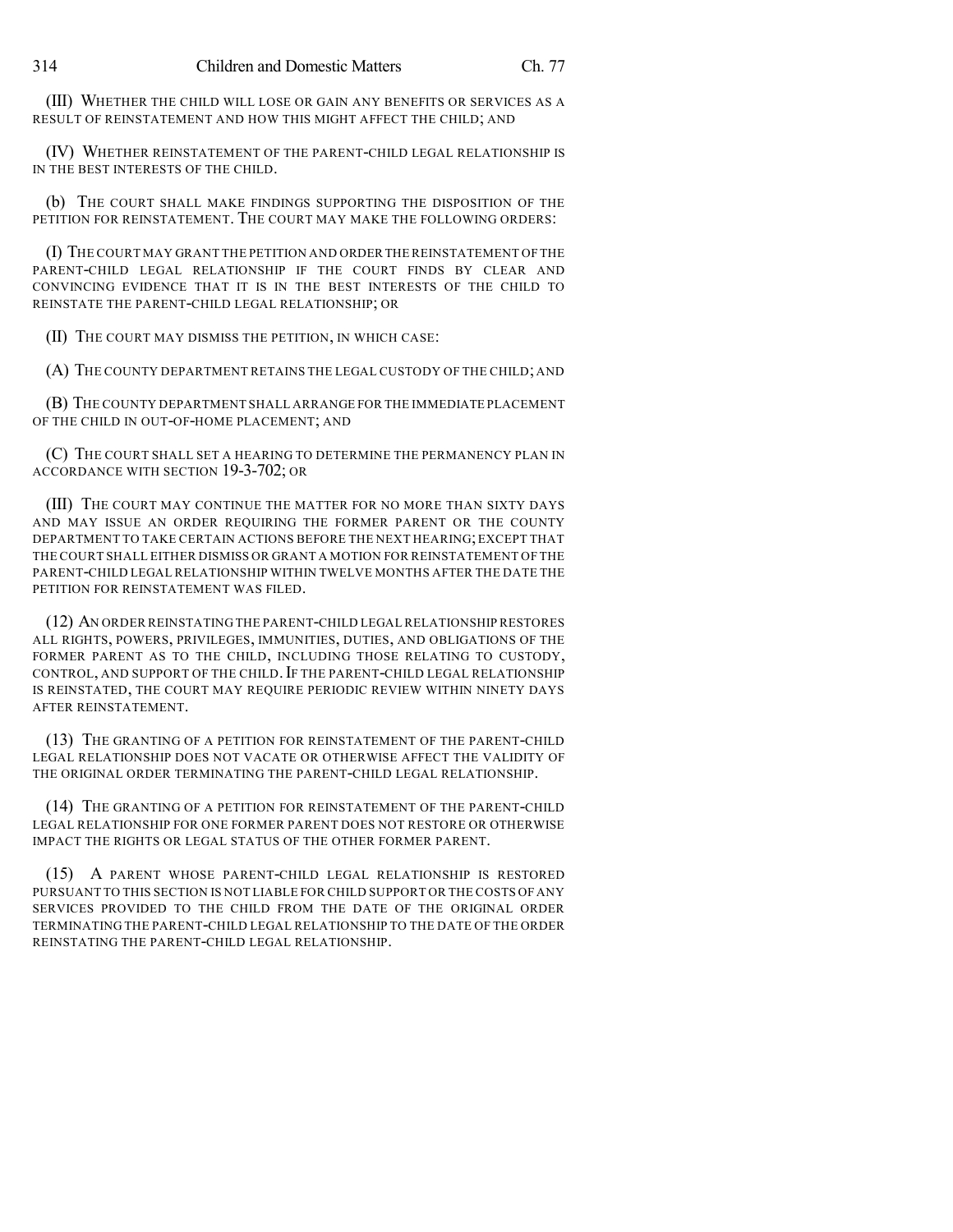(III) WHETHER THE CHILD WILL LOSE OR GAIN ANY BENEFITS OR SERVICES AS A RESULT OF REINSTATEMENT AND HOW THIS MIGHT AFFECT THE CHILD; AND

(IV) WHETHER REINSTATEMENT OF THE PARENT-CHILD LEGAL RELATIONSHIP IS IN THE BEST INTERESTS OF THE CHILD.

(b) THE COURT SHALL MAKE FINDINGS SUPPORTING THE DISPOSITION OF THE PETITION FOR REINSTATEMENT. THE COURT MAY MAKE THE FOLLOWING ORDERS:

(I) THE COURT MAY GRANT THE PETITION AND ORDER THE REINSTATEMENT OF THE PARENT-CHILD LEGAL RELATIONSHIP IF THE COURT FINDS BY CLEAR AND CONVINCING EVIDENCE THAT IT IS IN THE BEST INTERESTS OF THE CHILD TO REINSTATE THE PARENT-CHILD LEGAL RELATIONSHIP; OR

(II) THE COURT MAY DISMISS THE PETITION, IN WHICH CASE:

(A) THE COUNTY DEPARTMENT RETAINS THE LEGAL CUSTODY OF THE CHILD; AND

(B) THE COUNTY DEPARTMENT SHALL ARRANGE FOR THE IMMEDIATE PLACEMENT OF THE CHILD IN OUT-OF-HOME PLACEMENT; AND

(C) THE COURT SHALL SET A HEARING TO DETERMINE THE PERMANENCY PLAN IN ACCORDANCE WITH SECTION 19-3-702; OR

(III) THE COURT MAY CONTINUE THE MATTER FOR NO MORE THAN SIXTY DAYS AND MAY ISSUE AN ORDER REQUIRING THE FORMER PARENT OR THE COUNTY DEPARTMENT TO TAKE CERTAIN ACTIONS BEFORE THE NEXT HEARING;EXCEPT THAT THE COURT SHALL EITHER DISMISS OR GRANT A MOTION FOR REINSTATEMENT OF THE PARENT-CHILD LEGAL RELATIONSHIP WITHIN TWELVE MONTHS AFTER THE DATE THE PETITION FOR REINSTATEMENT WAS FILED.

(12) AN ORDER REINSTATING THE PARENT-CHILD LEGAL RELATIONSHIP RESTORES ALL RIGHTS, POWERS, PRIVILEGES, IMMUNITIES, DUTIES, AND OBLIGATIONS OF THE FORMER PARENT AS TO THE CHILD, INCLUDING THOSE RELATING TO CUSTODY, CONTROL, AND SUPPORT OF THE CHILD. IF THE PARENT-CHILD LEGAL RELATIONSHIP IS REINSTATED, THE COURT MAY REQUIRE PERIODIC REVIEW WITHIN NINETY DAYS AFTER REINSTATEMENT.

(13) THE GRANTING OF A PETITION FOR REINSTATEMENT OF THE PARENT-CHILD LEGAL RELATIONSHIP DOES NOT VACATE OR OTHERWISE AFFECT THE VALIDITY OF THE ORIGINAL ORDER TERMINATING THE PARENT-CHILD LEGAL RELATIONSHIP.

(14) THE GRANTING OF A PETITION FOR REINSTATEMENT OF THE PARENT-CHILD LEGAL RELATIONSHIP FOR ONE FORMER PARENT DOES NOT RESTORE OR OTHERWISE IMPACT THE RIGHTS OR LEGAL STATUS OF THE OTHER FORMER PARENT.

(15) A PARENT WHOSE PARENT-CHILD LEGAL RELATIONSHIP IS RESTORED PURSUANT TO THIS SECTION IS NOT LIABLE FOR CHILD SUPPORT OR THE COSTS OF ANY SERVICES PROVIDED TO THE CHILD FROM THE DATE OF THE ORIGINAL ORDER TERMINATING THE PARENT-CHILD LEGAL RELATIONSHIP TO THE DATE OF THE ORDER REINSTATING THE PARENT-CHILD LEGAL RELATIONSHIP.